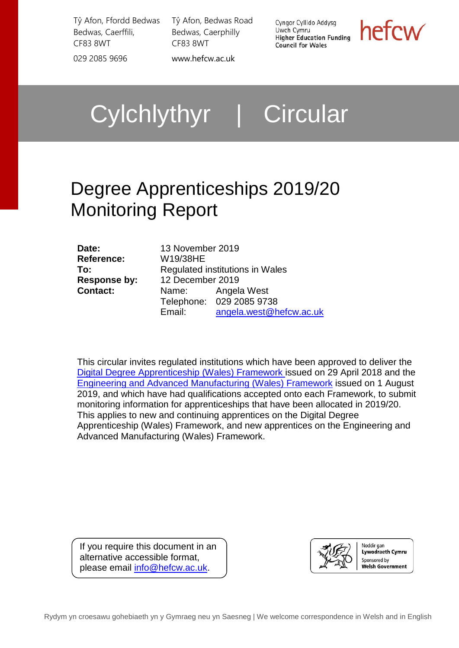Tŷ Afon, Ffordd Bedwas Bedwas, Caerffili, CF83 8WT 029 2085 9696 [www.hefcw.ac.uk](http://www.hefcw.ac.uk/)

Tŷ Afon, Bedwas Road Bedwas, Caerphilly CF83 8WT

Cyngor Cyllido Addysg Uwch Cymru **Higher Education Funding Council for Wales** 

hefcw

# Cylchlythyr | Circular

# Degree Apprenticeships 2019/20 Monitoring Report

| Date:               | 13 November 2019                |                          |  |
|---------------------|---------------------------------|--------------------------|--|
| Reference:          | W19/38HE                        |                          |  |
| To:                 | Regulated institutions in Wales |                          |  |
| <b>Response by:</b> | 12 December 2019                |                          |  |
| <b>Contact:</b>     |                                 | Name: Angela West        |  |
|                     |                                 | Telephone: 029 2085 9738 |  |
|                     | Email:                          | angela.west@hefcw.ac.uk  |  |

This circular invites regulated institutions which have been approved to deliver the [Digital Degree Apprenticeship \(Wales\) Framework](http://www.afo.sscalliance.org/frameworks-library/index.cfm?id=FR04381) issued on 29 April 2018 and the [Engineering and Advanced Manufacturing \(Wales\) Framework](http://www.afo.sscalliance.org/frameworks-library/index.cfm?id=FR04429) issued on 1 August 2019, and which have had qualifications accepted onto each Framework, to submit monitoring information for apprenticeships that have been allocated in 2019/20. This applies to new and continuing apprentices on the [Digital Degree](http://www.afo.sscalliance.org/frameworks-library/index.cfm?id=FR04381)  [Apprenticeship \(Wales\) Framework,](http://www.afo.sscalliance.org/frameworks-library/index.cfm?id=FR04381) and new apprentices on the [Engineering and](http://www.afo.sscalliance.org/frameworks-library/index.cfm?id=FR04429)  [Advanced Manufacturing \(Wales\) Framework.](http://www.afo.sscalliance.org/frameworks-library/index.cfm?id=FR04429)

If you require this document in an alternative accessible format, please email [info@hefcw.ac.uk.](mailto:info@hefcw.ac.uk)



Noddir gan Lywodraeth Cymru Sponsored by **Welsh Government**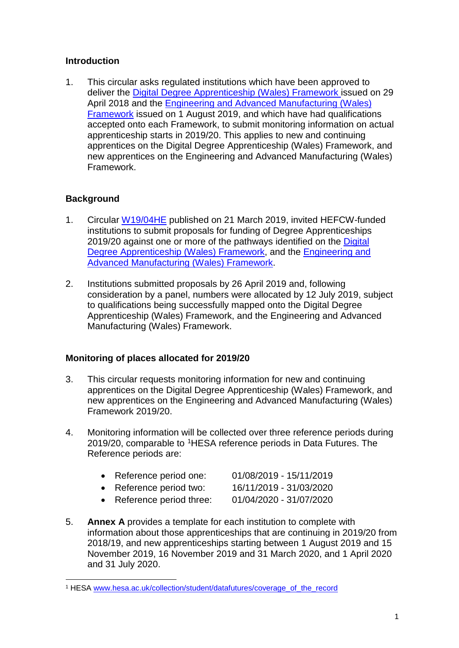## **Introduction**

1. This circular asks regulated institutions which have been approved to deliver the [Digital Degree Apprenticeship \(Wales\) Framework](http://www.afo.sscalliance.org/frameworks-library/index.cfm?id=FR04381) issued on 29 April 2018 and the [Engineering and Advanced Manufacturing \(Wales\)](http://www.afo.sscalliance.org/frameworks-library/index.cfm?id=FR04429)  [Framework](http://www.afo.sscalliance.org/frameworks-library/index.cfm?id=FR04429) issued on 1 August 2019, and which have had qualifications accepted onto each Framework, to submit monitoring information on actual apprenticeship starts in 2019/20. This applies to new and continuing apprentices on the [Digital Degree Apprenticeship \(Wales\) Framework,](http://www.afo.sscalliance.org/frameworks-library/index.cfm?id=FR04381) and new apprentices on the [Engineering and Advanced Manufacturing \(Wales\)](http://www.afo.sscalliance.org/frameworks-library/index.cfm?id=FR04429)  [Framework.](http://www.afo.sscalliance.org/frameworks-library/index.cfm?id=FR04429)

# **Background**

- 1. Circular [W19/04HE](https://www.hefcw.ac.uk/documents/publications/circulars/circulars_2019/W19%2004HE%20Degree%20Apprenticeships%20in%20Wales%20and%20Proposals%20for%20Funding%202019_20.pdf) published on 21 March 2019, invited HEFCW-funded institutions to submit proposals for funding of Degree Apprenticeships 2019/20 against one or more of the pathways identified on the Digital [Degree Apprenticeship \(Wales\) Framework,](http://www.afo.sscalliance.org/frameworks-library/index.cfm?id=FR04283) and the [Engineering and](http://www.afo.sscalliance.org/frameworks-library/index.cfm?id=FR04429)  [Advanced Manufacturing \(Wales\) Framework.](http://www.afo.sscalliance.org/frameworks-library/index.cfm?id=FR04429)
- 2. Institutions submitted proposals by 26 April 2019 and, following consideration by a panel, numbers were allocated by 12 July 2019, subject to qualifications being successfully mapped onto the [Digital Degree](http://www.afo.sscalliance.org/frameworks-library/index.cfm?id=FR04381)  [Apprenticeship \(Wales\) Framework,](http://www.afo.sscalliance.org/frameworks-library/index.cfm?id=FR04381) and the [Engineering and Advanced](http://www.afo.sscalliance.org/frameworks-library/index.cfm?id=FR04429)  [Manufacturing \(Wales\) Framework.](http://www.afo.sscalliance.org/frameworks-library/index.cfm?id=FR04429)

# **Monitoring of places allocated for 2019/20**

- 3. This circular requests monitoring information for new and continuing apprentices on the [Digital Degree Apprenticeship \(Wales\) Framework,](http://www.afo.sscalliance.org/frameworks-library/index.cfm?id=FR04381) and new apprentices on the [Engineering and Advanced Manufacturing \(Wales\)](http://www.afo.sscalliance.org/frameworks-library/index.cfm?id=FR04429)  [Framework](http://www.afo.sscalliance.org/frameworks-library/index.cfm?id=FR04429) 2019/20.
- 4. Monitoring information will be collected over three reference periods during 2019/20, comparable to [1H](#page-1-0)ESA reference periods in Data Futures. The Reference periods are:

| • Reference period one:   | 01/08/2019 - 15/11/2019 |
|---------------------------|-------------------------|
| • Reference period two:   | 16/11/2019 - 31/03/2020 |
| • Reference period three: | 01/04/2020 - 31/07/2020 |

5. **Annex A** provides a template for each institution to complete with information about those apprenticeships that are continuing in 2019/20 from 2018/19, and new apprenticeships starting between 1 August 2019 and 15 November 2019, 16 November 2019 and 31 March 2020, and 1 April 2020 and 31 July 2020.

<span id="page-1-0"></span> <sup>1</sup> HESA [www.hesa.ac.uk/collection/student/datafutures/coverage\\_of\\_the\\_record](https://www.hesa.ac.uk/collection/student/datafutures/coverage_of_the_record)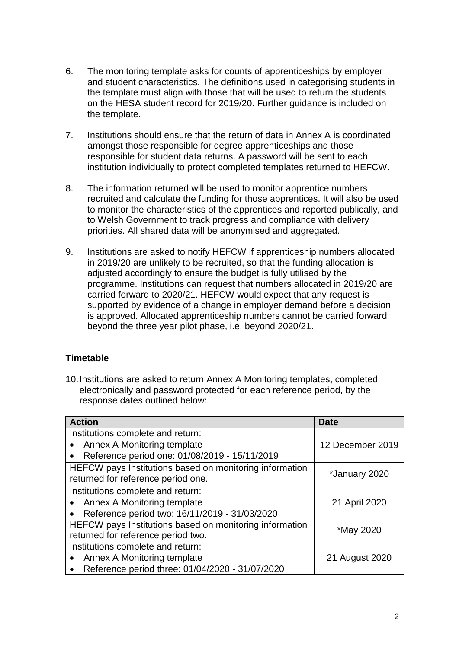- 6. The monitoring template asks for counts of apprenticeships by employer and student characteristics. The definitions used in categorising students in the template must align with those that will be used to return the students on the HESA student record for 2019/20. Further guidance is included on the template.
- 7. Institutions should ensure that the return of data in Annex A is coordinated amongst those responsible for degree apprenticeships and those responsible for student data returns. A password will be sent to each institution individually to protect completed templates returned to HEFCW.
- 8. The information returned will be used to monitor apprentice numbers recruited and calculate the funding for those apprentices. It will also be used to monitor the characteristics of the apprentices and reported publically, and to Welsh Government to track progress and compliance with delivery priorities. All shared data will be anonymised and aggregated.
- 9. Institutions are asked to notify HEFCW if apprenticeship numbers allocated in 2019/20 are unlikely to be recruited, so that the funding allocation is adjusted accordingly to ensure the budget is fully utilised by the programme. Institutions can request that numbers allocated in 2019/20 are carried forward to 2020/21. HEFCW would expect that any request is supported by evidence of a change in employer demand before a decision is approved. Allocated apprenticeship numbers cannot be carried forward beyond the three year pilot phase, i.e. beyond 2020/21.

## **Timetable**

10.Institutions are asked to return Annex A Monitoring templates, completed electronically and password protected for each reference period, by the response dates outlined below:

| <b>Action</b>                                                                                 | Date             |
|-----------------------------------------------------------------------------------------------|------------------|
| Institutions complete and return:                                                             |                  |
| Annex A Monitoring template<br>$\bullet$                                                      | 12 December 2019 |
| Reference period one: 01/08/2019 - 15/11/2019                                                 |                  |
| HEFCW pays Institutions based on monitoring information<br>returned for reference period one. | *January 2020    |
| Institutions complete and return:                                                             |                  |
| Annex A Monitoring template                                                                   | 21 April 2020    |
| Reference period two: 16/11/2019 - 31/03/2020<br>$\bullet$                                    |                  |
| HEFCW pays Institutions based on monitoring information                                       | *May 2020        |
| returned for reference period two.                                                            |                  |
| Institutions complete and return:                                                             |                  |
| Annex A Monitoring template                                                                   | 21 August 2020   |
| Reference period three: 01/04/2020 - 31/07/2020                                               |                  |